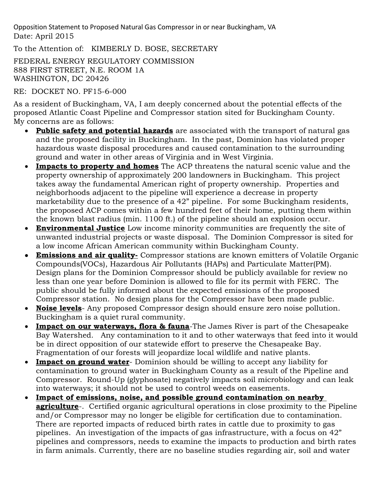Opposition Statement to Proposed Natural Gas Compressor in or near Buckingham, VA Date: April 2015

To the Attention of: KIMBERLY D. BOSE, SECRETARY

FEDERAL ENERGY REGULATORY COMMISSION 888 FIRST STREET, N.E. ROOM 1A WASHINGTON, DC 20426

RE: DOCKET NO. PF15-6-000

As a resident of Buckingham, VA, I am deeply concerned about the potential effects of the proposed Atlantic Coast Pipeline and Compressor station sited for Buckingham County. My concerns are as follows:

- **Public safety and potential hazards** are associated with the transport of natural gas and the proposed facility in Buckingham. In the past, Dominion has violated proper hazardous waste disposal procedures and caused contamination to the surrounding ground and water in other areas of Virginia and in West Virginia.
- **Impacts to property and homes** The ACP threatens the natural scenic value and the property ownership of approximately 200 landowners in Buckingham. This project takes away the fundamental American right of property ownership. Properties and neighborhoods adjacent to the pipeline will experience a decrease in property marketability due to the presence of a 42" pipeline. For some Buckingham residents, the proposed ACP comes within a few hundred feet of their home, putting them within the known blast radius (min. 1100 ft.) of the pipeline should an explosion occur.
- **Environmental Justice** Low income minority communities are frequently the site of unwanted industrial projects or waste disposal. The Dominion Compressor is sited for a low income African American community within Buckingham County.
- **Emissions and air quality-** Compressor stations are known emitters of Volatile Organic Compounds(VOCs), Hazardous Air Pollutants (HAPs) and Particulate Matter(PM). Design plans for the Dominion Compressor should be publicly available for review no less than one year before Dominion is allowed to file for its permit with FERC. The public should be fully informed about the expected emissions of the proposed Compressor station. No design plans for the Compressor have been made public.
- **Noise levels** Any proposed Compressor design should ensure zero noise pollution. Buckingham is a quiet rural community.
- **Impact on our waterways, flora & fauna**-The James River is part of the Chesapeake Bay Watershed. Any contamination to it and to other waterways that feed into it would be in direct opposition of our statewide effort to preserve the Chesapeake Bay. Fragmentation of our forests will jeopardize local wildlife and native plants.
- **Impact on ground water** Dominion should be willing to accept any liability for contamination to ground water in Buckingham County as a result of the Pipeline and Compressor. Round-Up (glyphosate) negatively impacts soil microbiology and can leak into waterways; it should not be used to control weeds on easements.
- **Impact of emissions, noise, and possible ground contamination on nearby agriculture**-. Certified organic agricultural operations in close proximity to the Pipeline and/or Compressor may no longer be eligible for certification due to contamination. There are reported impacts of reduced birth rates in cattle due to proximity to gas pipelines. An investigation of the impacts of gas infrastructure, with a focus on 42" pipelines and compressors, needs to examine the impacts to production and birth rates in farm animals. Currently, there are no baseline studies regarding air, soil and water